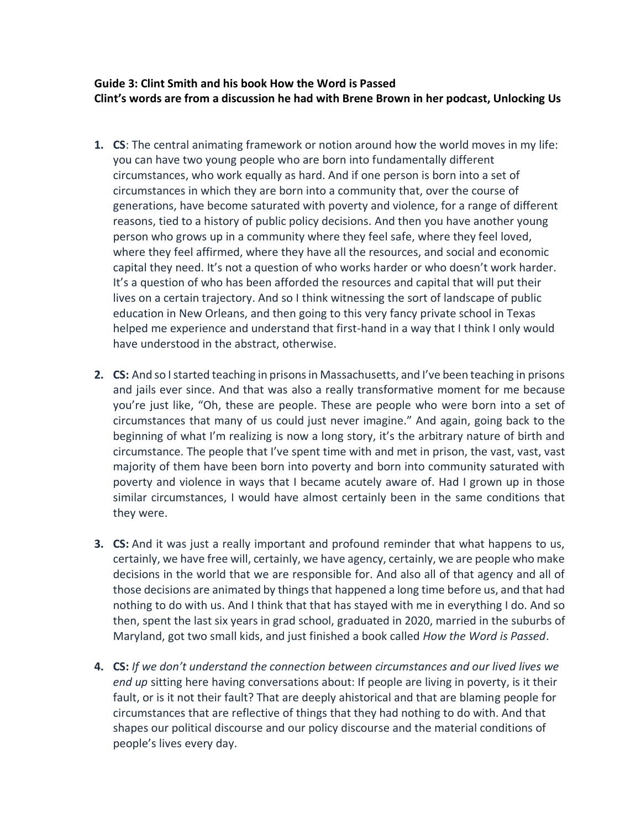## **Guide 3: Clint Smith and his book How the Word is Passed Clint's words are from a discussion he had with Brene Brown in her podcast, Unlocking Us**

- **1. CS**: The central animating framework or notion around how the world moves in my life: you can have two young people who are born into fundamentally different circumstances, who work equally as hard. And if one person is born into a set of circumstances in which they are born into a community that, over the course of generations, have become saturated with poverty and violence, for a range of different reasons, tied to a history of public policy decisions. And then you have another young person who grows up in a community where they feel safe, where they feel loved, where they feel affirmed, where they have all the resources, and social and economic capital they need. It's not a question of who works harder or who doesn't work harder. It's a question of who has been afforded the resources and capital that will put their lives on a certain trajectory. And so I think witnessing the sort of landscape of public education in New Orleans, and then going to this very fancy private school in Texas helped me experience and understand that first-hand in a way that I think I only would have understood in the abstract, otherwise.
- **2. CS:** And so I started teaching in prisons in Massachusetts, and I've been teaching in prisons and jails ever since. And that was also a really transformative moment for me because you're just like, "Oh, these are people. These are people who were born into a set of circumstances that many of us could just never imagine." And again, going back to the beginning of what I'm realizing is now a long story, it's the arbitrary nature of birth and circumstance. The people that I've spent time with and met in prison, the vast, vast, vast majority of them have been born into poverty and born into community saturated with poverty and violence in ways that I became acutely aware of. Had I grown up in those similar circumstances, I would have almost certainly been in the same conditions that they were.
- **3. CS:** And it was just a really important and profound reminder that what happens to us, certainly, we have free will, certainly, we have agency, certainly, we are people who make decisions in the world that we are responsible for. And also all of that agency and all of those decisions are animated by things that happened a long time before us, and that had nothing to do with us. And I think that that has stayed with me in everything I do. And so then, spent the last six years in grad school, graduated in 2020, married in the suburbs of Maryland, got two small kids, and just finished a book called *How the Word is Passed*.
- **4. CS:** *If we don't understand the connection between circumstances and our lived lives we end up* sitting here having conversations about: If people are living in poverty, is it their fault, or is it not their fault? That are deeply ahistorical and that are blaming people for circumstances that are reflective of things that they had nothing to do with. And that shapes our political discourse and our policy discourse and the material conditions of people's lives every day.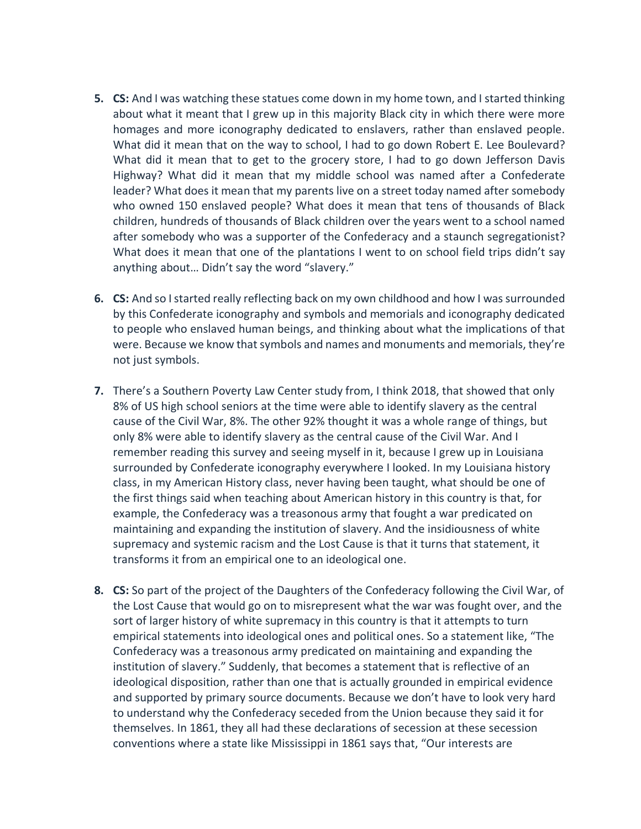- **5. CS:** And I was watching these statues come down in my home town, and I started thinking about what it meant that I grew up in this majority Black city in which there were more homages and more iconography dedicated to enslavers, rather than enslaved people. What did it mean that on the way to school, I had to go down Robert E. Lee Boulevard? What did it mean that to get to the grocery store, I had to go down Jefferson Davis Highway? What did it mean that my middle school was named after a Confederate leader? What does it mean that my parents live on a street today named after somebody who owned 150 enslaved people? What does it mean that tens of thousands of Black children, hundreds of thousands of Black children over the years went to a school named after somebody who was a supporter of the Confederacy and a staunch segregationist? What does it mean that one of the plantations I went to on school field trips didn't say anything about… Didn't say the word "slavery."
- **6. CS:** And so I started really reflecting back on my own childhood and how I was surrounded by this Confederate iconography and symbols and memorials and iconography dedicated to people who enslaved human beings, and thinking about what the implications of that were. Because we know that symbols and names and monuments and memorials, they're not just symbols.
- **7.** There's a Southern Poverty Law Center study from, I think 2018, that showed that only 8% of US high school seniors at the time were able to identify slavery as the central cause of the Civil War, 8%. The other 92% thought it was a whole range of things, but only 8% were able to identify slavery as the central cause of the Civil War. And I remember reading this survey and seeing myself in it, because I grew up in Louisiana surrounded by Confederate iconography everywhere I looked. In my Louisiana history class, in my American History class, never having been taught, what should be one of the first things said when teaching about American history in this country is that, for example, the Confederacy was a treasonous army that fought a war predicated on maintaining and expanding the institution of slavery. And the insidiousness of white supremacy and systemic racism and the Lost Cause is that it turns that statement, it transforms it from an empirical one to an ideological one.
- **8. CS:** So part of the project of the Daughters of the Confederacy following the Civil War, of the Lost Cause that would go on to misrepresent what the war was fought over, and the sort of larger history of white supremacy in this country is that it attempts to turn empirical statements into ideological ones and political ones. So a statement like, "The Confederacy was a treasonous army predicated on maintaining and expanding the institution of slavery." Suddenly, that becomes a statement that is reflective of an ideological disposition, rather than one that is actually grounded in empirical evidence and supported by primary source documents. Because we don't have to look very hard to understand why the Confederacy seceded from the Union because they said it for themselves. In 1861, they all had these declarations of secession at these secession conventions where a state like Mississippi in 1861 says that, "Our interests are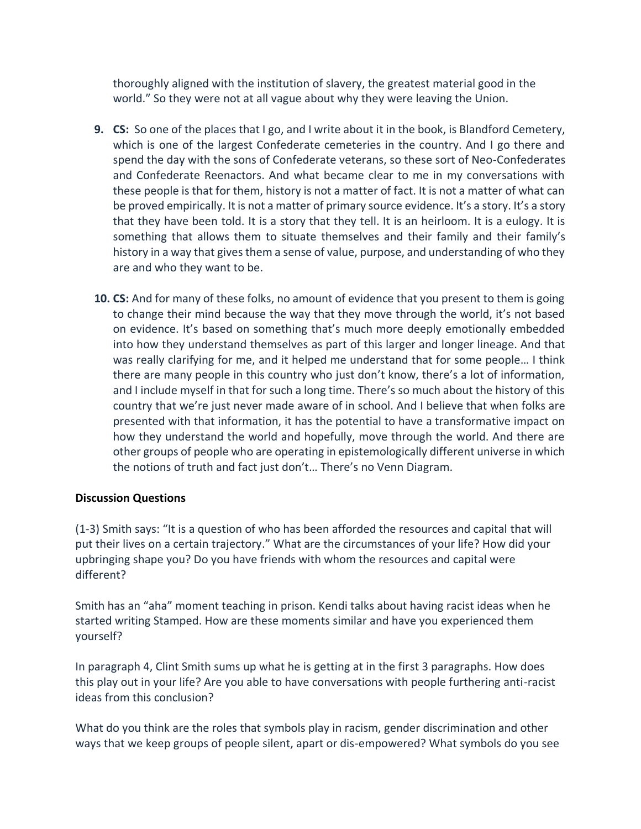thoroughly aligned with the institution of slavery, the greatest material good in the world." So they were not at all vague about why they were leaving the Union.

- **9. CS:** So one of the places that I go, and I write about it in the book, is Blandford Cemetery, which is one of the largest Confederate cemeteries in the country. And I go there and spend the day with the sons of Confederate veterans, so these sort of Neo-Confederates and Confederate Reenactors. And what became clear to me in my conversations with these people is that for them, history is not a matter of fact. It is not a matter of what can be proved empirically. It is not a matter of primary source evidence. It's a story. It's a story that they have been told. It is a story that they tell. It is an heirloom. It is a eulogy. It is something that allows them to situate themselves and their family and their family's history in a way that gives them a sense of value, purpose, and understanding of who they are and who they want to be.
- **10. CS:** And for many of these folks, no amount of evidence that you present to them is going to change their mind because the way that they move through the world, it's not based on evidence. It's based on something that's much more deeply emotionally embedded into how they understand themselves as part of this larger and longer lineage. And that was really clarifying for me, and it helped me understand that for some people… I think there are many people in this country who just don't know, there's a lot of information, and I include myself in that for such a long time. There's so much about the history of this country that we're just never made aware of in school. And I believe that when folks are presented with that information, it has the potential to have a transformative impact on how they understand the world and hopefully, move through the world. And there are other groups of people who are operating in epistemologically different universe in which the notions of truth and fact just don't… There's no Venn Diagram.

## **Discussion Questions**

(1-3) Smith says: "It is a question of who has been afforded the resources and capital that will put their lives on a certain trajectory." What are the circumstances of your life? How did your upbringing shape you? Do you have friends with whom the resources and capital were different?

Smith has an "aha" moment teaching in prison. Kendi talks about having racist ideas when he started writing Stamped. How are these moments similar and have you experienced them yourself?

In paragraph 4, Clint Smith sums up what he is getting at in the first 3 paragraphs. How does this play out in your life? Are you able to have conversations with people furthering anti-racist ideas from this conclusion?

What do you think are the roles that symbols play in racism, gender discrimination and other ways that we keep groups of people silent, apart or dis-empowered? What symbols do you see